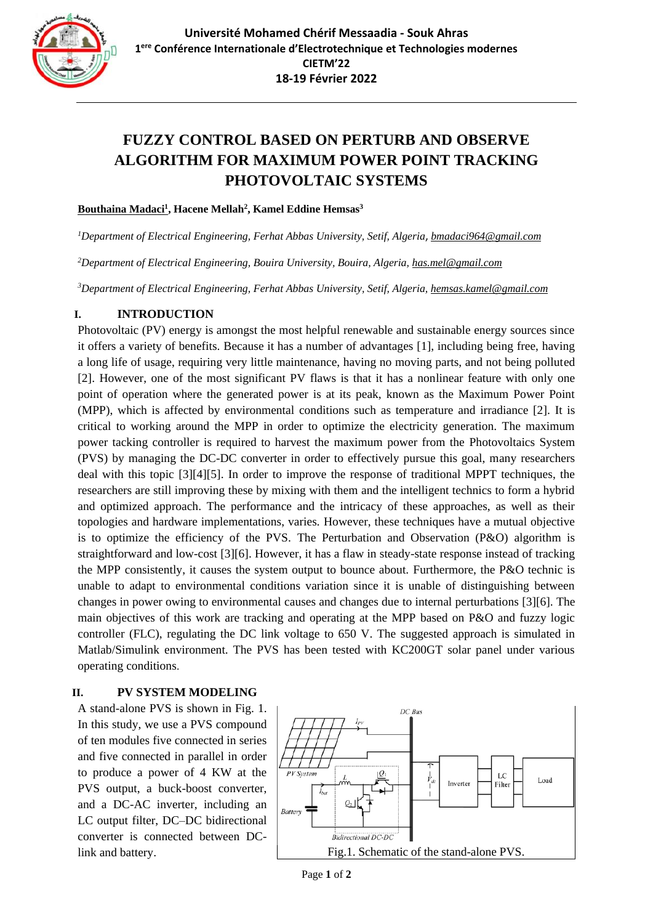

# **FUZZY CONTROL BASED ON PERTURB AND OBSERVE ALGORITHM FOR MAXIMUM POWER POINT TRACKING PHOTOVOLTAIC SYSTEMS**

#### **Bouthaina Madaci<sup>1</sup> , Hacene Mellah<sup>2</sup> , Kamel Eddine Hemsas<sup>3</sup>**

*<sup>1</sup>Department of Electrical Engineering, Ferhat Abbas University, Setif, Algeria*, *[bmadaci964@gmail.com](mailto:bmadaci964@gmail.com)*

*<sup>2</sup>Department of Electrical Engineering, Bouira University, Bouira, Algeria, [has.mel@gmail.com](mailto:has.mel@gmail.com)*

*<sup>3</sup>Department of Electrical Engineering, Ferhat Abbas University, Setif, Algeria[, hemsas.kamel@gmail.com](mailto:hemsas.kamel@gmail.com)*

## **I. INTRODUCTION**

Photovoltaic (PV) energy is amongst the most helpful renewable and sustainable energy sources since it offers a variety of benefits. Because it has a number of advantages [1], including being free, having a long life of usage, requiring very little maintenance, having no moving parts, and not being polluted [2]. However, one of the most significant PV flaws is that it has a nonlinear feature with only one point of operation where the generated power is at its peak, known as the Maximum Power Point (MPP), which is affected by environmental conditions such as temperature and irradiance [2]. It is critical to working around the MPP in order to optimize the electricity generation. The maximum power tacking controller is required to harvest the maximum power from the Photovoltaics System (PVS) by managing the DC-DC converter in order to effectively pursue this goal, many researchers deal with this topic [3][4][5]. In order to improve the response of traditional MPPT techniques, the researchers are still improving these by mixing with them and the intelligent technics to form a hybrid and optimized approach. The performance and the intricacy of these approaches, as well as their topologies and hardware implementations, varies*.* However, these techniques have a mutual objective is to optimize the efficiency of the PVS. The Perturbation and Observation (P&O) algorithm is straightforward and low-cost [3][6]. However, it has a flaw in steady-state response instead of tracking the MPP consistently, it causes the system output to bounce about. Furthermore, the P&O technic is unable to adapt to environmental conditions variation since it is unable of distinguishing between changes in power owing to environmental causes and changes due to internal perturbations [3][6]. The main objectives of this work are tracking and operating at the MPP based on P&O and fuzzy logic controller (FLC), regulating the DC link voltage to 650 V. The suggested approach is simulated in Matlab/Simulink environment. The PVS has been tested with KC200GT solar panel under various operating conditions .

## **II. PV SYSTEM MODELING**

A stand-alone PVS is shown in Fig. 1. In this study, we use a PVS compound of ten modules five connected in series and five connected in parallel in order to produce a power of 4 KW at the PVS output, a buck-boost converter, and a DC-AC inverter, including an LC output filter, DC–DC bidirectional converter is connected between DC-